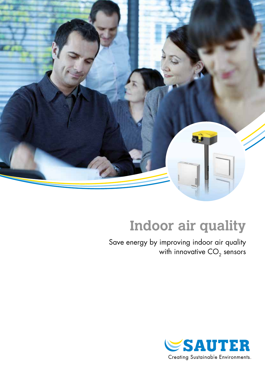

# **Indoor air quality**

Save energy by improving indoor air quality with innovative  $\mathsf{CO}_2$  sensors

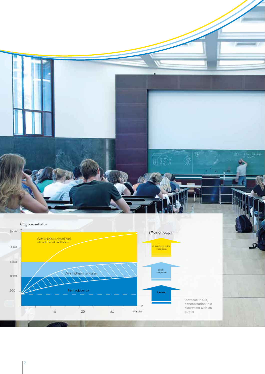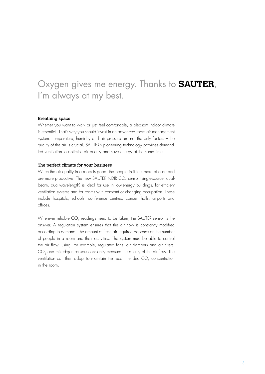# Oxygen gives me energy. Thanks to **SAUTER**, I'm always at my best.

#### Breathing space

Whether you want to work or just feel comfortable, a pleasant indoor climate is essential. That's why you should invest in an advanced room air management system. Temperature, humidity and air pressure are not the only factors – the quality of the air is crucial. SAUTER's pioneering technology provides demandled ventilation to optimise air quality and save energy at the same time.

### The perfect climate for your business

When the air quality in a room is good, the people in it feel more at ease and are more productive. The new SAUTER NDIR CO<sub>2</sub> sensor (single-source, dualbeam, dual-wavelength) is ideal for use in low-energy buildings, for efficient ventilation systems and for rooms with constant or changing occupation. These include hospitals, schools, conference centres, concert halls, airports and offices.

Wherever reliable CO<sub>2</sub> readings need to be taken, the SAUTER sensor is the answer. A regulation system ensures that the air flow is constantly modified according to demand. The amount of fresh air required depends on the number of people in a room and their activities. The system must be able to control the air flow, using, for example, regulated fans, air dampers and air filters.  $CO<sub>2</sub>$  and mixed-gas sensors constantly measure the quality of the air flow. The ventilation can then adapt to maintain the recommended  $CO<sub>2</sub>$  concentration in the room.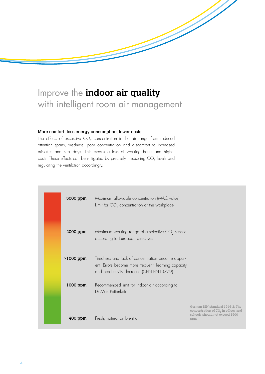# Improve the **indoor air quality** with intelligent room air management

### More comfort, less energy consumption, lower costs

The effects of excessive CO<sub>2</sub> concentration in the air range from reduced attention spans, tiredness, poor concentration and discomfort to increased mistakes and sick days. This means a loss of working hours and higher costs. These effects can be mitigated by precisely measuring CO<sub>2</sub> levels and regulating the ventilation accordingly.

| 5000 ppm    | Maximum allowable concentration (MAC value)<br>Limit for $CO2$ concentration at the workplace                                                       |                                                                                                                              |
|-------------|-----------------------------------------------------------------------------------------------------------------------------------------------------|------------------------------------------------------------------------------------------------------------------------------|
| 2000 ppm    | Maximum working range of a selective $CO2$ sensor<br>according to European directives                                                               |                                                                                                                              |
| $>1000$ ppm | Tiredness and lack of concentration become appar-<br>ent. Errors become more frequent; learning capacity<br>and productivity decrease (CEN EN13779) |                                                                                                                              |
| 1000 ppm    | Recommended limit for indoor air according to<br>Dr Max Pettenkofer                                                                                 |                                                                                                                              |
| $400$ ppm   | Fresh, natural ambient air                                                                                                                          | German DIN standard 1946-2: The<br>concentration of CO <sub>2</sub> in offices and<br>schools should not exceed 1500<br>ppm. |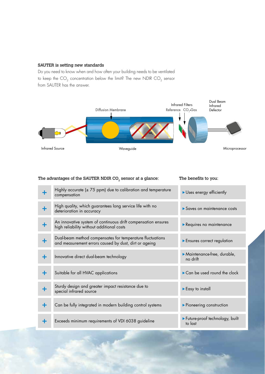## SAUTER is setting new standards

Do you need to know when and how often your building needs to be ventilated to keep the  $\mathrm{CO}_2$  concentration below the limit? The new NDIR  $\mathrm{CO}_2$  sensor from SAUTER has the answer.



# The advantages of the SAUTER NDIR  $CO<sub>2</sub>$  sensor at a glance: The benefits to you:

|   | Highly accurate $(\pm 75$ ppm) due to calibration and temperature<br>compensation                                  | Uses energy efficiently                   |
|---|--------------------------------------------------------------------------------------------------------------------|-------------------------------------------|
| ╋ | High quality, which guarantees long service life with no<br>deterioration in accuracy                              | Saves on maintenance costs                |
|   | An innovative system of continuous drift compensation ensures<br>high reliability without additional costs         | Requires no maintenance                   |
| ╋ | Dual-beam method compensates for temperature fluctuations<br>and measurement errors caused by dust, dirt or ageing | Ensures correct regulation                |
| ╋ | Innovative direct dual-beam technology                                                                             | Maintenance-free, durable,<br>no drift    |
| ╋ | Suitable for all HVAC applications                                                                                 | Can be used round the clock               |
| ٠ | Sturdy design and greater impact resistance due to<br>special infrared source                                      | Easy to install                           |
| ╋ | Can be fully integrated in modern building control systems                                                         | ▶ Pioneering construction                 |
| ÷ | Exceeds minimum requirements of VDI 6038 guideline                                                                 | Future-proof technology, built<br>to last |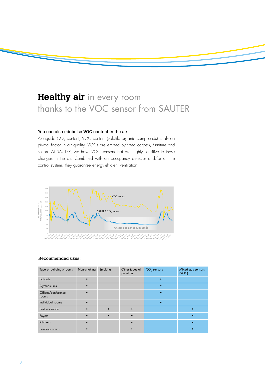# **Healthy air** in every room thanks to the VOC sensor from SAUTER

# You can also minimise VOC content in the air

Alongside CO<sub>2</sub> content, VOC content (volatile organic compounds) is also a pivotal factor in air quality. VOCs are emitted by fitted carpets, furniture and so on. At SAUTER, we have VOC sensors that are highly sensitive to these changes in the air. Combined with an occupancy detector and/or a time control system, they guarantee energy-efficient ventilation.



#### Recommended uses:

| Type of buildings/rooms     | Non-smoking | Smoking | Other types of<br>pollution | $CO2$ sensors | Mixed gas sensors<br>(VOC) |
|-----------------------------|-------------|---------|-----------------------------|---------------|----------------------------|
| Schools                     |             |         |                             |               |                            |
| Gymnasiums                  |             |         |                             |               |                            |
| Offices/conference<br>rooms |             |         |                             |               |                            |
| Individual rooms            |             |         |                             |               |                            |
| Festivity rooms             |             |         |                             |               |                            |
| Foyers                      |             |         |                             |               |                            |
| Kitchens                    |             |         |                             |               |                            |
| Sanitary areas              |             |         |                             |               |                            |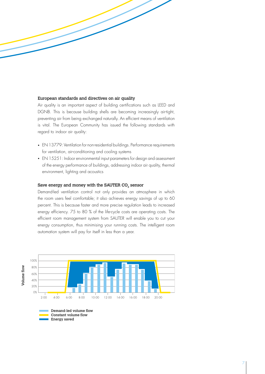### European standards and directives on air quality

Air quality is an important aspect of building certifications such as LEED and DGNB. This is because building shells are becoming increasingly air-tight, preventing air from being exchanged naturally. An efficient means of ventilation is vital. The European Community has issued the following standards with regard to indoor air quality:

- EN 13779: Ventilation for non-residential buildings. Performance requirements for ventilation, air-conditioning and cooling systems
- EN 15251: Indoor environmental input parameters for design and assessment of the energy performance of buildings, addressing indoor air quality, thermal environment, lighting and acoustics

### Save energy and money with the SAUTER CO<sub>2</sub> sensor

Demand-led ventilation control not only provides an atmosphere in which the room users feel comfortable; it also achieves energy savings of up to 60 percent. This is because faster and more precise regulation leads to increased energy efficiency. 75 to 80 % of the life-cycle costs are operating costs. The efficient room management system from SAUTER will enable you to cut your energy consumption, thus minimising your running costs. The intelligent room automation system will pay for itself in less than a year.